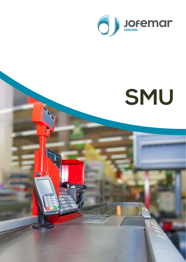

# **SMU**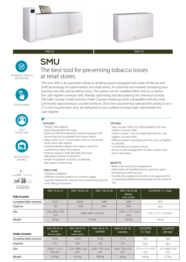



#### SMU SC





The new SMU is an automatic tobacco vending system equipped with state-of-the-art antitheft technology for supermarkets and retail stores. An essential tool towards increasing your business' security and avoiding losses. The system can be installed either next to or below the cash register conveyor belt, thereby optimising and decluttering the checkout counter. The Side Counter model and the Under Counter model are both compatible with the most commonly used checkout counter furniture. Once the customer has selected the products on a 21.5-inch touchscreen, they are delivered on the outfeed conveyor belt, right beside the cash register.

## **THEFT**

**TOUCHSCREEN** 

**PROTECTION** 



BETTER STOCK CONTROL



#### FEATURES

- Greater total capacity.
- Easily disassembled for repair.
- Quiet and efficient extraction system equipped with technology that accelerates the output speed.
- Sales control via 21.5-inch tablet, with no connection to the store cash register.
- Intuitive interface design that makes it easier for customers to select the product.
- Product output in both left/right directions.
- Adjustable number of selections.
- Simple recognition of product availability.
- Pipe tobacco dispensing.

#### **STRUCTURE**

- Modular installation.
- Different module positions for product supply.
- Superior ergonomics: easy access to restocking channels. • Inner lifting mechanism.

#### OPTIONS

- Side Counter / 880 mm High (parallel to the cash register conveyor belt)
- Under Counter / 726 mm High (beneath the cash register conveyor belt)
- Different tobacco packaging formats, such as BigPack or pouches.
- Control device to protect minors.
- Access to and management of sales, product and price information.

#### **BENEFITS**

- Better time and stock management.
- Optimisation of available business premises space.
- Increased anti-theft security.
- Provides the establishment with a new approach for incorporating additional advertising into the point of sale.

| <b>Side Counter</b>     | <b>SMU 74 SC 31</b>   | SMU 140 SC 60                    | SMU 140 SC 80 | <b>SMU 140 SC 80</b><br><b>Master</b><br>(side outlet) | ELEVATOR 111 High                |  |
|-------------------------|-----------------------|----------------------------------|---------------|--------------------------------------------------------|----------------------------------|--|
| Complete/Split channels | 10/21                 | 20/40                            | 0/80          | 0/80                                                   | N/A                              |  |
| Capacity                | 532                   | 1.040                            | 940           | 940                                                    | N/A                              |  |
| <b>Size</b>             | 740 x 880 x 520<br>mm | $1.400 \times 880 \times 520$ mm |               | $1.625 \times 1.111 \times 520$<br>mm                  | $215 \times 1.111 \times 520$ mm |  |
| Weight                  | 85 Kg                 | 150 kg                           |               | 196 Kg                                                 | 44 Kg                            |  |

| <b>Under Counter</b>    | <b>SMU 100 UC 43</b><br>Master<br>(front outlet) | <b>SMU 100 UC 43</b><br>Master<br>(side outlet) | <b>SMU 100 UC 43</b><br><b>Satellite</b> | <b>SMU 54 UC 22</b><br><b>Satellite</b> | <b>ELEVATOR</b><br>111 High          | <b>ELEVATOR</b><br>88 High |
|-------------------------|--------------------------------------------------|-------------------------------------------------|------------------------------------------|-----------------------------------------|--------------------------------------|----------------------------|
| Complete/Split channels | 13/30                                            | 13/30                                           | 13/30                                    | 7/15                                    | N/A                                  | N/A                        |
| Capacity                | 516                                              | 528                                             | 528                                      | 275                                     | N/A                                  | N/A                        |
| Size                    | $1.000 \times 1.110 \times$<br>745 mm            | $1.225 \times 880 \times 520$<br>mm             | 1.000 x 726 x 520<br>mm                  | $540 \times 726 \times 520$<br>mm       | $215 \times 1.111 \times 520$<br>mm. | 215 x 880 x 520<br>mm      |
| Weight                  | 154 Kg                                           | 147 Kg                                          | 108 Kg                                   | 64 kg                                   | 44 Ka                                | 37 Kg                      |

#### SMU UC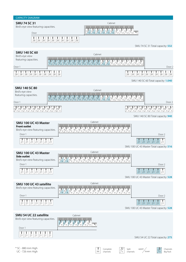



Door 1

╖









 

 $\overline{\mathbb{I}}$